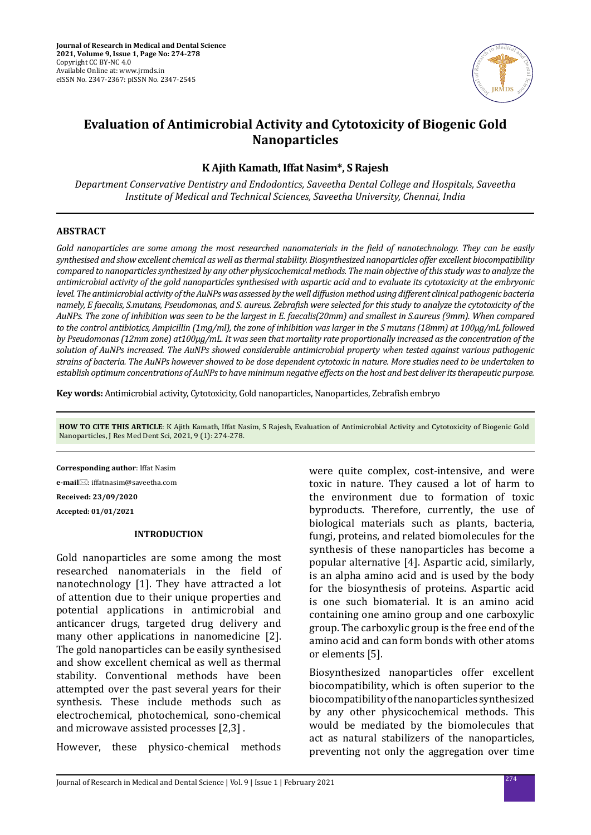

# **Evaluation of Antimicrobial Activity and Cytotoxicity of Biogenic Gold Nanoparticles**

# **K Ajith Kamath, Iffat Nasim\*, S Rajesh**

*Department Conservative Dentistry and Endodontics, Saveetha Dental College and Hospitals, Saveetha Institute of Medical and Technical Sciences, Saveetha University, Chennai, India*

#### **ABSTRACT**

*Gold nanoparticles are some among the most researched nanomaterials in the field of nanotechnology. They can be easily synthesised and show excellent chemical as well as thermal stability. Biosynthesized nanoparticles offer excellent biocompatibility compared to nanoparticles synthesized by any other physicochemical methods. The main objective of this study was to analyze the antimicrobial activity of the gold nanoparticles synthesised with aspartic acid and to evaluate its cytotoxicity at the embryonic level. The antimicrobial activity of the AuNPs was assessed by the well diffusion method using different clinical pathogenic bacteria namely, E faecalis, S.mutans, Pseudomonas, and S. aureus. Zebrafish were selected for this study to analyze the cytotoxicity of the AuNPs. The zone of inhibition was seen to be the largest in E. faecalis(20mm) and smallest in S.aureus (9mm). When compared to the control antibiotics, Ampicillin (1mg/ml), the zone of inhibition was larger in the S mutans (18mm) at 100μg/mL followed by Pseudomonas (12mm zone) at100μg/mL. It was seen that mortality rate proportionally increased as the concentration of the solution of AuNPs increased. The AuNPs showed considerable antimicrobial property when tested against various pathogenic strains of bacteria. The AuNPs however showed to be dose dependent cytotoxic in nature. More studies need to be undertaken to establish optimum concentrations of AuNPs to have minimum negative effects on the host and best deliver its therapeutic purpose.*

**Key words:** Antimicrobial activity, Cytotoxicity, Gold nanoparticles, Nanoparticles, Zebrafish embryo

**HOW TO CITE THIS ARTICLE**: K Ajith Kamath, Iffat Nasim, S Rajesh, Evaluation of Antimicrobial Activity and Cytotoxicity of Biogenic Gold Nanoparticles, J Res Med Dent Sci, 2021, 9 (1): 274-278.

**Corresponding author**: Iffat Nasim **e-mail**⊠: iffatnasim@saveetha.com **Received: 23/09/2020 Accepted: 01/01/2021**

#### **INTRODUCTION**

Gold nanoparticles are some among the most researched nanomaterials in the field of nanotechnology [1]. They have attracted a lot of attention due to their unique properties and potential applications in antimicrobial and anticancer drugs, targeted drug delivery and many other applications in nanomedicine [2]. The gold nanoparticles can be easily synthesised and show excellent chemical as well as thermal stability. Conventional methods have been attempted over the past several years for their synthesis. These include methods such as electrochemical, photochemical, sono-chemical and microwave assisted processes [2,3] .

However, these physico-chemical methods

were quite complex, cost-intensive, and were toxic in nature. They caused a lot of harm to the environment due to formation of toxic byproducts. Therefore, currently, the use of biological materials such as plants, bacteria, fungi, proteins, and related biomolecules for the synthesis of these nanoparticles has become a popular alternative [4]. Aspartic acid, similarly, is an alpha amino acid and is used by the body for the biosynthesis of proteins. Aspartic acid is one such biomaterial. It is an amino acid containing one amino group and one carboxylic group. The carboxylic group is the free end of the amino acid and can form bonds with other atoms or elements [5].

Biosynthesized nanoparticles offer excellent biocompatibility, which is often superior to the biocompatibility of the nanoparticles synthesized by any other physicochemical methods. This would be mediated by the biomolecules that act as natural stabilizers of the nanoparticles, preventing not only the aggregation over time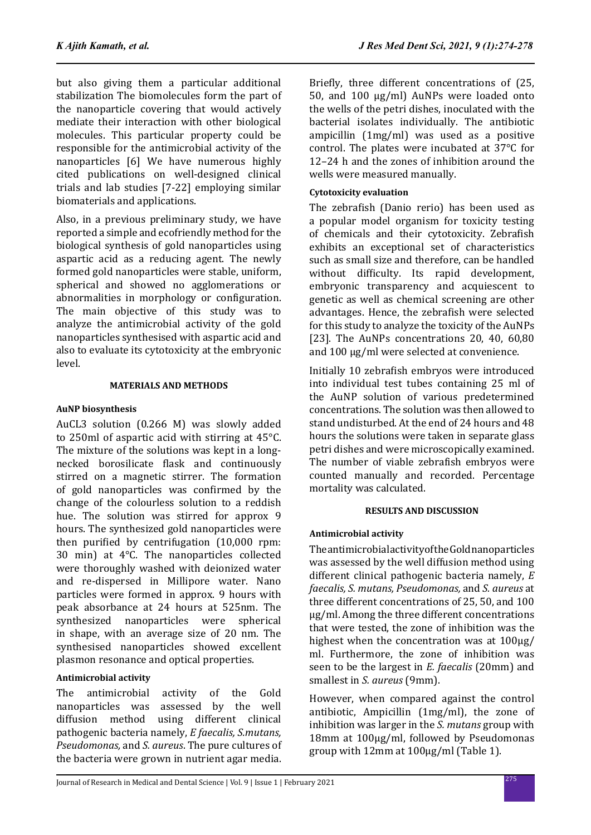but also giving them a particular additional stabilization The biomolecules form the part of the nanoparticle covering that would actively mediate their interaction with other biological molecules. This particular property could be responsible for the antimicrobial activity of the nanoparticles [6] We have numerous highly cited publications on well-designed clinical trials and lab studies [7-22] employing similar biomaterials and applications.

Also, in a previous preliminary study, we have reported a simple and ecofriendly method for the biological synthesis of gold nanoparticles using aspartic acid as a reducing agent. The newly formed gold nanoparticles were stable, uniform, spherical and showed no agglomerations or abnormalities in morphology or configuration. The main objective of this study was to analyze the antimicrobial activity of the gold nanoparticles synthesised with aspartic acid and also to evaluate its cytotoxicity at the embryonic level.

### **MATERIALS AND METHODS**

# **AuNP biosynthesis**

AuCL3 solution (0.266 M) was slowly added to 250ml of aspartic acid with stirring at 45°C. The mixture of the solutions was kept in a longnecked borosilicate flask and continuously stirred on a magnetic stirrer. The formation of gold nanoparticles was confirmed by the change of the colourless solution to a reddish hue. The solution was stirred for approx 9 hours. The synthesized gold nanoparticles were then purified by centrifugation (10,000 rpm: 30 min) at 4°C. The nanoparticles collected were thoroughly washed with deionized water and re-dispersed in Millipore water. Nano particles were formed in approx. 9 hours with peak absorbance at 24 hours at 525nm. The synthesized nanoparticles were spherical in shape, with an average size of 20 nm. The synthesised nanoparticles showed excellent plasmon resonance and optical properties.

# **Antimicrobial activity**

The antimicrobial activity of the Gold<br>nanoparticles was assessed by the well assessed by the well diffusion method using different clinical pathogenic bacteria namely, *E faecalis, S.mutans, Pseudomonas,* and *S. aureus*. The pure cultures of the bacteria were grown in nutrient agar media. Briefly, three different concentrations of (25, 50, and 100 μg/ml) AuNPs were loaded onto the wells of the petri dishes, inoculated with the bacterial isolates individually. The antibiotic ampicillin (1mg/ml) was used as a positive control. The plates were incubated at 37°C for 12–24 h and the zones of inhibition around the wells were measured manually.

# **Cytotoxicity evaluation**

The zebrafish (Danio rerio) has been used as a popular model organism for toxicity testing of chemicals and their cytotoxicity. Zebrafish exhibits an exceptional set of characteristics such as small size and therefore, can be handled without difficulty. Its rapid development, embryonic transparency and acquiescent to genetic as well as chemical screening are other advantages. Hence, the zebrafish were selected for this study to analyze the toxicity of the AuNPs [23]. The AuNPs concentrations 20, 40, 60,80 and 100 μg/ml were selected at convenience.

Initially 10 zebrafish embryos were introduced into individual test tubes containing 25 ml of the AuNP solution of various predetermined concentrations. The solution was then allowed to stand undisturbed. At the end of 24 hours and 48 hours the solutions were taken in separate glass petri dishes and were microscopically examined. The number of viable zebrafish embryos were counted manually and recorded. Percentage mortality was calculated.

# **RESULTS AND DISCUSSION**

# **Antimicrobial activity**

The antimicrobial activity of the Gold nanoparticles was assessed by the well diffusion method using different clinical pathogenic bacteria namely, *E faecalis, S. mutans, Pseudomonas,* and *S. aureus* at three different concentrations of 25, 50, and 100 μg/ml. Among the three different concentrations that were tested, the zone of inhibition was the highest when the concentration was at 100μg/ ml. Furthermore, the zone of inhibition was seen to be the largest in *E. faecalis* (20mm) and smallest in *S. aureus* (9mm).

However, when compared against the control antibiotic, Ampicillin (1mg/ml), the zone of inhibition was larger in the *S. mutans* group with 18mm at 100μg/ml, followed by Pseudomonas group with 12mm at 100μg/ml (Table 1).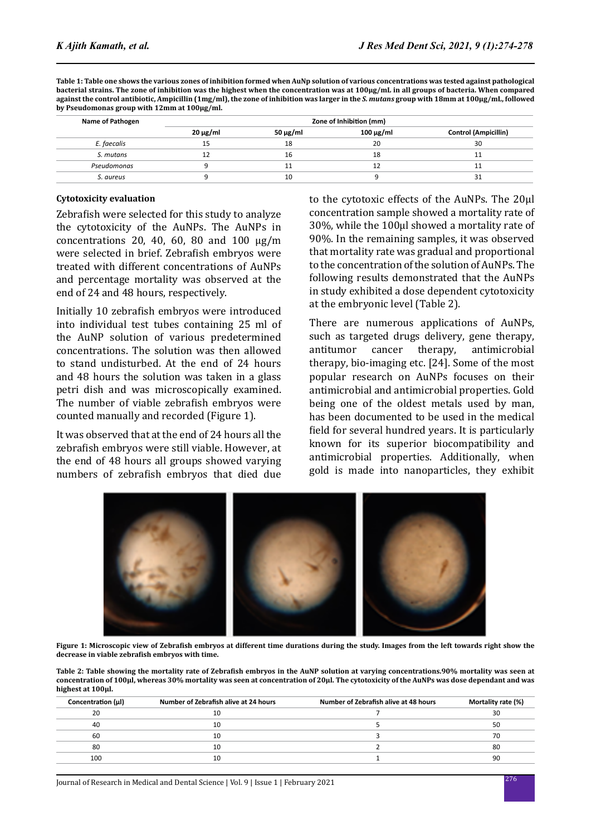**Table 1: Table one shows the various zones of inhibition formed when AuNp solution of various concentrations was tested against pathological bacterial strains. The zone of inhibition was the highest when the concentration was at 100μg/mL in all groups of bacteria. When compared against the control antibiotic, Ampicillin (1mg/ml), the zone of inhibition was larger in the** *S. mutans* **group with 18mm at 100μg/mL, followed by Pseudomonas group with 12mm at 100μg/ml.**

| Name of Pathogen | Zone of Inhibition (mm) |               |           |                             |
|------------------|-------------------------|---------------|-----------|-----------------------------|
|                  | $20 \mu g/ml$           | 50 $\mu$ g/ml | 100 μg/ml | <b>Control (Ampicillin)</b> |
| E. faecalis      | 15                      | 18            | 20        | 30                          |
| S. mutans        |                         | 16            | 18        | 11                          |
| Pseudomonas      |                         | 11            | 12        | 11                          |
| S. aureus        |                         | 10            |           | 31                          |

#### **Cytotoxicity evaluation**

Zebrafish were selected for this study to analyze the cytotoxicity of the AuNPs. The AuNPs in concentrations 20, 40, 60, 80 and 100 μg/m were selected in brief. Zebrafish embryos were treated with different concentrations of AuNPs and percentage mortality was observed at the end of 24 and 48 hours, respectively.

Initially 10 zebrafish embryos were introduced into individual test tubes containing 25 ml of the AuNP solution of various predetermined concentrations. The solution was then allowed to stand undisturbed. At the end of 24 hours and 48 hours the solution was taken in a glass petri dish and was microscopically examined. The number of viable zebrafish embryos were counted manually and recorded (Figure 1).

It was observed that at the end of 24 hours all the zebrafish embryos were still viable. However, at the end of 48 hours all groups showed varying numbers of zebrafish embryos that died due to the cytotoxic effects of the AuNPs. The 20μl concentration sample showed a mortality rate of 30%, while the 100μl showed a mortality rate of 90%. In the remaining samples, it was observed that mortality rate was gradual and proportional to the concentration of the solution of AuNPs. The following results demonstrated that the AuNPs in study exhibited a dose dependent cytotoxicity at the embryonic level (Table 2).

There are numerous applications of AuNPs, such as targeted drugs delivery, gene therapy, antitumor cancer therapy, antimicrobial therapy, bio-imaging etc. [24]. Some of the most popular research on AuNPs focuses on their antimicrobial and antimicrobial properties. Gold being one of the oldest metals used by man, has been documented to be used in the medical field for several hundred years. It is particularly known for its superior biocompatibility and antimicrobial properties. Additionally, when gold is made into nanoparticles, they exhibit



**Figure 1: Microscopic view of Zebrafish embryos at different time durations during the study. Images from the left towards right show the decrease in viable zebrafish embryos with time.**

**Table 2: Table showing the mortality rate of Zebrafish embryos in the AuNP solution at varying concentrations.90% mortality was seen at concentration of 100μl, whereas 30% mortality was seen at concentration of 20μl. The cytotoxicity of the AuNPs was dose dependant and was highest at 100μl.**

| Concentration (µl) | Number of Zebrafish alive at 24 hours | Number of Zebrafish alive at 48 hours | Mortality rate (%) |
|--------------------|---------------------------------------|---------------------------------------|--------------------|
| 20                 | 10                                    |                                       | 30                 |
| 40                 | 10                                    |                                       | 50                 |
| 60                 | 10                                    |                                       | 70                 |
| 80                 | 10                                    |                                       | 80                 |
| 100                |                                       |                                       | 90                 |
|                    |                                       |                                       |                    |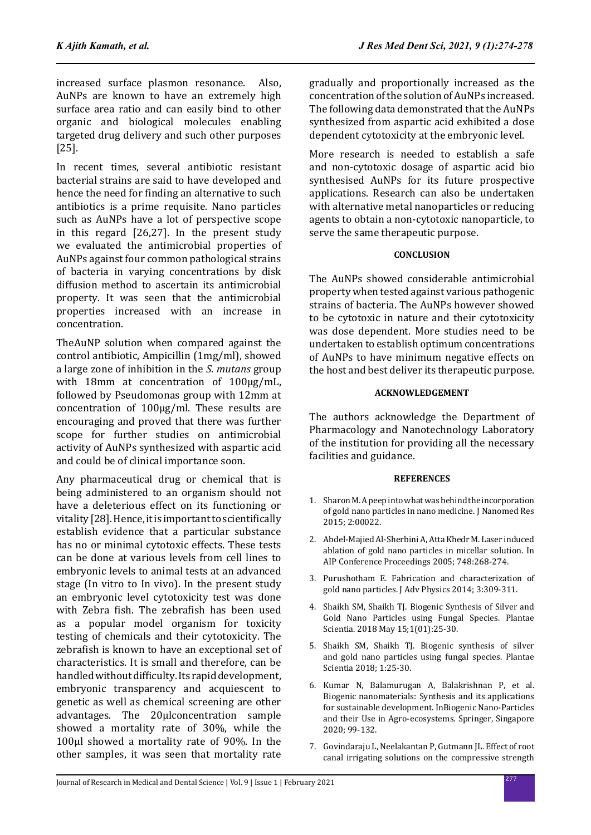increased surface plasmon resonance. Also, AuNPs are known to have an extremely high surface area ratio and can easily bind to other organic and biological molecules enabling targeted drug delivery and such other purposes [25].

In recent times, several antibiotic resistant bacterial strains are said to have developed and hence the need for finding an alternative to such antibiotics is a prime requisite. Nano particles such as AuNPs have a lot of perspective scope in this regard [26,27]. In the present study we evaluated the antimicrobial properties of AuNPs against four common pathological strains of bacteria in varying concentrations by disk diffusion method to ascertain its antimicrobial property. It was seen that the antimicrobial properties increased with an increase in concentration.

TheAuNP solution when compared against the control antibiotic, Ampicillin (1mg/ml), showed a large zone of inhibition in the *S. mutans* group with 18mm at concentration of 100μg/mL, followed by Pseudomonas group with 12mm at concentration of 100μg/ml. These results are encouraging and proved that there was further scope for further studies on antimicrobial activity of AuNPs synthesized with aspartic acid and could be of clinical importance soon.

Any pharmaceutical drug or chemical that is being administered to an organism should not have a deleterious effect on its functioning or vitality [28]. Hence, it is important to scientifically establish evidence that a particular substance has no or minimal cytotoxic effects. These tests can be done at various levels from cell lines to embryonic levels to animal tests at an advanced stage (In vitro to In vivo). In the present study an embryonic level cytotoxicity test was done with Zebra fish. The zebrafish has been used as a popular model organism for toxicity testing of chemicals and their cytotoxicity. The zebrafish is known to have an exceptional set of characteristics. It is small and therefore, can be handled without difficulty. Its rapid development, embryonic transparency and acquiescent to genetic as well as chemical screening are other advantages. The 20μlconcentration sample showed a mortality rate of 30%, while the 100μl showed a mortality rate of 90%. In the other samples, it was seen that mortality rate gradually and proportionally increased as the concentration of the solution of AuNPs increased. The following data demonstrated that the AuNPs synthesized from aspartic acid exhibited a dose dependent cytotoxicity at the embryonic level.

More research is needed to establish a safe and non-cytotoxic dosage of aspartic acid bio synthesised AuNPs for its future prospective applications. Research can also be undertaken with alternative metal nanoparticles or reducing agents to obtain a non-cytotoxic nanoparticle, to serve the same therapeutic purpose.

### **CONCLUSION**

The AuNPs showed considerable antimicrobial property when tested against various pathogenic strains of bacteria. The AuNPs however showed to be cytotoxic in nature and their cytotoxicity was dose dependent. More studies need to be undertaken to establish optimum concentrations of AuNPs to have minimum negative effects on the host and best deliver its therapeutic purpose.

### **ACKNOWLEDGEMENT**

The authors acknowledge the Department of Pharmacology and Nanotechnology Laboratory of the institution for providing all the necessary facilities and guidance.

#### **REFERENCES**

- 1. Sharon M. A peep into what was behind the incorporation of gold nano particles in nano medicine. J Nanomed Res 2015; 2:00022.
- 2. Abdel‐Majied Al‐Sherbini A, Atta Khedr M. Laser induced ablation of gold nano particles in micellar solution. In AIP Conference Proceedings 2005; 748:268-274.
- 3. Purushotham E. Fabrication and characterization of gold nano particles. J Adv Physics 2014; 3:309-311.
- 4. Shaikh SM, Shaikh TJ. Biogenic Synthesis of Silver and Gold Nano Particles using Fungal Species. Plantae Scientia. 2018 May 15;1(01):25-30.
- 5. Shaikh SM, Shaikh TJ. Biogenic synthesis of silver and gold nano particles using fungal species. Plantae Scientia 2018; 1:25-30.
- 6. Kumar N, Balamurugan A, Balakrishnan P, et al. Biogenic nanomaterials: Synthesis and its applications for sustainable development. InBiogenic Nano-Particles and their Use in Agro-ecosystems. Springer, Singapore 2020; 99-132.
- 7. Govindaraju L, Neelakantan P, Gutmann JL. Effect of root canal irrigating solutions on the compressive strength